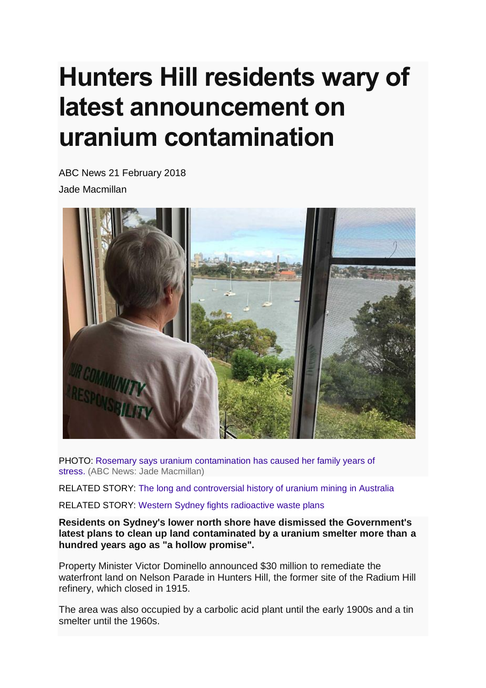## **Hunters Hill residents wary of latest announcement on uranium contamination**

ABC News 21 February 2018 Jade Macmillan



PHOTO: [Rosemary says uranium contamination has caused her family years of](http://www.abc.net.au/news/2018-02-21/rosemary-manusu-looking-over-property/9468306)  stress. [\(ABC News: Jade Macmillan\)](http://www.abc.net.au/news/2018-02-21/rosemary-manusu-looking-over-property/9468306)

RELATED STORY: [The long and controversial history of uranium mining in Australia](http://www.abc.net.au/radionational/programs/rearvision/history-of-uranium-mining-in-australia/6607212)

RELATED STORY: [Western Sydney fights radioactive waste plans](http://www.abc.net.au/news/2013-02-08/western-sydney-fights-plans-to-dump-radioactive-waste/4507696)

**Residents on Sydney's lower north shore have dismissed the Government's latest plans to clean up land contaminated by a uranium smelter more than a hundred years ago as "a hollow promise".**

Property Minister Victor Dominello announced \$30 million to remediate the waterfront land on Nelson Parade in Hunters Hill, the former site of the Radium Hill refinery, which closed in 1915.

The area was also occupied by a carbolic acid plant until the early 1900s and a tin smelter until the 1960s.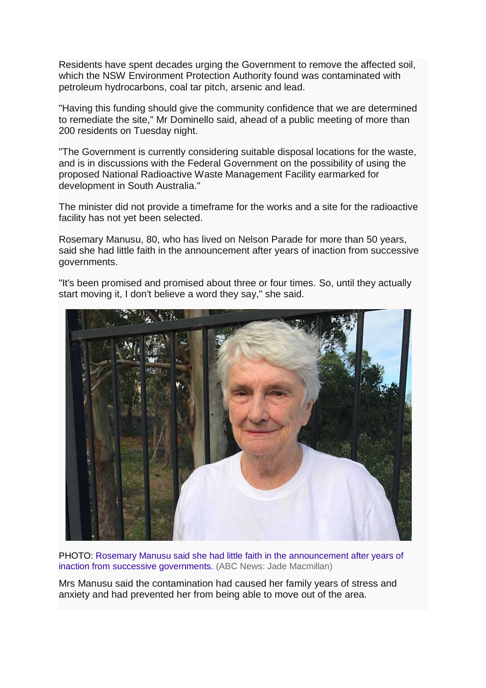Residents have spent decades urging the Government to remove the affected soil, which the NSW Environment Protection Authority found was contaminated with petroleum hydrocarbons, coal tar pitch, arsenic and lead.

"Having this funding should give the community confidence that we are determined to remediate the site," Mr Dominello said, ahead of a public meeting of more than 200 residents on Tuesday night.

"The Government is currently considering suitable disposal locations for the waste, and is in discussions with the Federal Government on the possibility of using the proposed National Radioactive Waste Management Facility earmarked for development in South Australia."

The minister did not provide a timeframe for the works and a site for the radioactive facility has not yet been selected.

Rosemary Manusu, 80, who has lived on Nelson Parade for more than 50 years, said she had little faith in the announcement after years of inaction from successive governments.

"It's been promised and promised about three or four times. So, until they actually start moving it, I don't believe a word they say," she said.



PHOTO: [Rosemary Manusu said she had little faith in the announcement after years of](http://www.abc.net.au/news/2018-02-21/rosemary-manusu-hunters-hill/9468312)  [inaction from successive governments.](http://www.abc.net.au/news/2018-02-21/rosemary-manusu-hunters-hill/9468312) (ABC News: Jade Macmillan)

Mrs Manusu said the contamination had caused her family years of stress and anxiety and had prevented her from being able to move out of the area.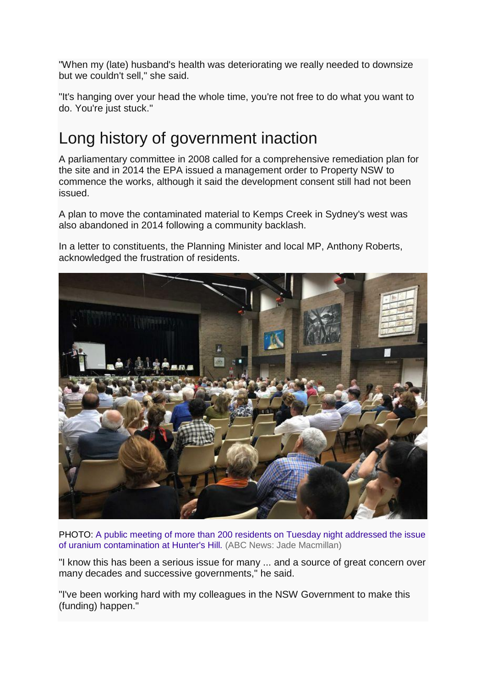"When my (late) husband's health was deteriorating we really needed to downsize but we couldn't sell," she said.

"It's hanging over your head the whole time, you're not free to do what you want to do. You're just stuck."

## Long history of government inaction

A parliamentary committee in 2008 called for a comprehensive remediation plan for the site and in 2014 the EPA issued a management order to Property NSW to commence the works, although it said the development consent still had not been issued.

A plan to move the contaminated material to Kemps Creek in Sydney's west was also abandoned in 2014 following a community backlash.

In a letter to constituents, the Planning Minister and local MP, Anthony Roberts, acknowledged the frustration of residents.



PHOTO: A public meeting [of more than 200 residents on Tuesday night addressed the issue](http://www.abc.net.au/news/2018-02-21/public-meeting-hunters-hill/9468314)  [of uranium contamination at Hunter's Hill.](http://www.abc.net.au/news/2018-02-21/public-meeting-hunters-hill/9468314) (ABC News: Jade Macmillan)

"I know this has been a serious issue for many ... and a source of great concern over many decades and successive governments," he said.

"I've been working hard with my colleagues in the NSW Government to make this (funding) happen."